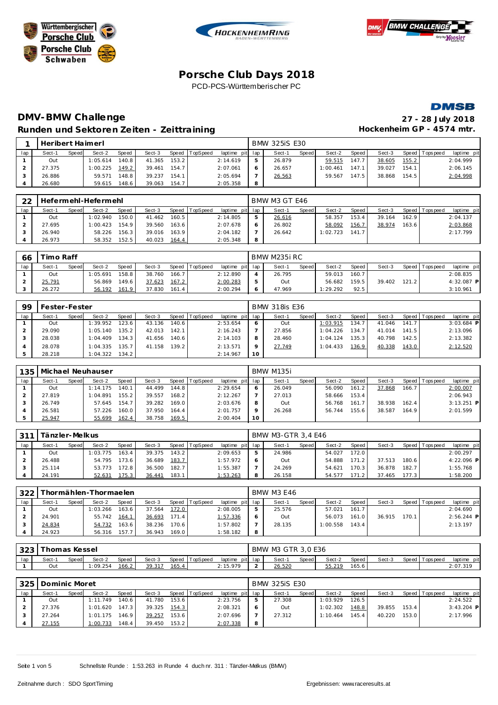







## **DMV-BMW Challenge 27 - 28 July 2018** Runden und Sektoren Zeiten - Zeittraining **Eineren Einer Freihausschreiten GP** - 4574 mtr.

|     | Heribert Haimerl |       |          |       |        |       |          |                 |   | <b>BMW 325iS E30</b> |       |          |       |        |       |                 |             |
|-----|------------------|-------|----------|-------|--------|-------|----------|-----------------|---|----------------------|-------|----------|-------|--------|-------|-----------------|-------------|
| lap | Sect-1           | Speed | Sect-2   | Speed | Sect-3 | Speed | TopSpeed | laptime pit lap |   | Sect-1               | Speed | Sect-2   | Speed | Sect-3 |       | Speed Tops peed | laptime pit |
|     | Out              |       | 1:05.614 | 140.8 | 41.365 | 153.2 |          | 2:14.619        |   | 26.879               |       | 59.515   | 147.7 | 38.605 | 155.2 |                 | 2:04.999    |
|     | 27.375           |       | 1:00.225 | 149.2 | 39.461 | 154.7 |          | 2:07.061        |   | 26.657               |       | 1:00.461 | 147.1 | 39.027 | 154.1 |                 | 2:06.145    |
|     | 26.886           |       | 59.571   | 148.8 | 39.237 | 154.1 |          | 2:05.694        |   | 26.563               |       | 59.567   | 147.5 | 38.868 | 154.5 |                 | 2:04.998    |
|     | 26.680           |       | 59.615   | 148.6 | 39.063 | 154.7 |          | 2:05.358        | 8 |                      |       |          |       |        |       |                 |             |

| フフ  |        |       | Hefermehl-Hefermehl |       |        |       |                |                 |   | BMW M3 GT E46 |              |          |       |        |         |                   |             |
|-----|--------|-------|---------------------|-------|--------|-------|----------------|-----------------|---|---------------|--------------|----------|-------|--------|---------|-------------------|-------------|
| lap | Sect-1 | Speed | Sect-2              | Speed | Sect-3 |       | Speed TopSpeed | laptime pit lap |   | Sect-1        | <b>Speed</b> | Sect-2   | Speed | Sect-3 |         | Speed   Tops peed | laptime pit |
|     | Out    |       | 1:02.940            | 150.0 | 41.462 | 160.5 |                | 2:14.805        |   | 26.616        |              | 58.357   | 153.4 | 39.164 | 162.9   |                   | 2:04.137    |
|     | 27.695 |       | 1:00.423            | 154.9 | 39.560 | 163.6 |                | 2:07.678        |   | 26.802        |              | 58.092   | 156.7 | 38.974 | 163.6 l |                   | 2:03.868    |
|     | 26.940 |       | 58.226              | 156.3 | 39.016 | 163.9 |                | 2:04.182        |   | 26.642        |              | 1:02.723 | 141.7 |        |         |                   | 2:17.799    |
|     | 26.973 |       | 58.352              | 152.5 | 40.023 | 164.4 |                | 2:05.348        | 8 |               |              |          |       |        |         |                   |             |

| 66  | imo Raff |       |          |       |        |       |          |                 |   | BMW M235i RC |              |          |        |        |       |                |             |
|-----|----------|-------|----------|-------|--------|-------|----------|-----------------|---|--------------|--------------|----------|--------|--------|-------|----------------|-------------|
| lap | Sect-1   | Speed | Sect-2   | Speed | Sect-3 | Speed | TopSpeed | laptime pit lap |   | Sect-1       | <b>Speed</b> | Sect-2   | Speed  | Sect-3 |       | Speed Topspeed | laptime pit |
|     | Out      |       | 1:05.691 | 158.8 | 38.760 | 166.7 |          | 2:12.890        |   | 26.795       |              | 59.013   | 160.71 |        |       |                | 2:08.835    |
|     | 25.791   |       | 56.869   | 149.6 | 37.623 | 167.2 |          | 2:00.283        |   | Out          |              | 56.682   | 159.5  | 39.402 | 121.2 |                | 4:32.087 P  |
|     | 26.272   |       | 56.192   | 161.9 | 37.830 | 161.4 |          | 2:00.294        | O | 47.969       |              | 1:29.292 | 92.5   |        |       |                | 3:10.961    |

| 99  | Fester-Fester |       |          |       |        |       |                |                 |    | <b>BMW 318is E36</b> |       |          |                    |        |       |                 |              |
|-----|---------------|-------|----------|-------|--------|-------|----------------|-----------------|----|----------------------|-------|----------|--------------------|--------|-------|-----------------|--------------|
| lap | Sect-1        | Speed | Sect-2   | Speed | Sect-3 |       | Speed TopSpeed | laptime pit lap |    | Sect-1               | Speed | Sect-2   | Speed              | Sect-3 |       | Speed Tops peed | laptime pit  |
|     | Out           |       | 1:39.952 | 123.6 | 43.136 | 140.6 |                | 2:53.654        | O  | Out                  |       | 1:03.915 | 134.7              | 41.046 | 141.7 |                 | $3:03.684$ P |
|     | 29.090        |       | 1:05.140 | 135.2 | 42.013 | 142.1 |                | 2:16.243        |    | 27.856               |       | 1:04.226 | 134.7 <sub>1</sub> | 41.014 | 141.5 |                 | 2:13.096     |
|     | 28.038        |       | 1:04.409 | 134.3 | 41.656 | 140.6 |                | 2:14.103        | 8  | 28.460               |       | 1:04.124 | 135.3              | 40.798 | 142.5 |                 | 2:13.382     |
|     | 28.078        |       | 1:04.335 | 135.7 | 41.158 | 139.2 |                | 2:13.571        | o  | 27.749               |       | 1:04.433 | 136.9              | 40.338 | 143.0 |                 | 2:12.520     |
|     | 28.218        |       | 1:04.322 | 134.2 |        |       |                | 2:14.967        | 10 |                      |       |          |                    |        |       |                 |              |

| 135 |        |       | Michael Neuhauser |       |        |       |                  |                 |         | <b>BMW M135i</b> |              |        |        |        |       |                |              |
|-----|--------|-------|-------------------|-------|--------|-------|------------------|-----------------|---------|------------------|--------------|--------|--------|--------|-------|----------------|--------------|
| lap | Sect-1 | Speed | Sect-2            | Speed | Sect-3 |       | Speed   TopSpeed | laptime pit lap |         | Sect-1           | <b>Speed</b> | Sect-2 | Speed  | Sect-3 |       | Speed Topspeed | laptime pit  |
|     | Out    |       | 1:14.175          | 140.1 | 44.499 | 144.8 |                  | 2:29.654        | 6       | 26.049           |              | 56.090 | 161.21 | 37.868 | 166.7 |                | 2:00.007     |
|     | 27.819 |       | 1:04.891          | 155.2 | 39.557 | 168.2 |                  | 2:12.267        |         | 27.013           |              | 58.666 | 153.4  |        |       |                | 2:06.943     |
|     | 26.749 |       | 57.645            | 154.7 | 39.282 | 169.0 |                  | 2:03.676        | 8       | Out              |              | 56.768 | 161.7  | 38.938 | 162.4 |                | $3:13.251$ P |
|     | 26.581 |       | 57.226            | 160.0 | 37.950 | 164.4 |                  | 2:01.757        | $\circ$ | 26.268           |              | 56.744 | 155.6  | 38.587 | 164.9 |                | 2:01.599     |
|     | 25.947 |       | 55.699            | 162.4 | 38.758 | 169.5 |                  | 2:00.404        | 10      |                  |              |        |        |        |       |                |              |

| 311 | Tänzler-Melkus |       |          |       |        |       |                 |             |     | BMW M3-GTR 3.4 E46 |       |        |       |        |              |           |              |
|-----|----------------|-------|----------|-------|--------|-------|-----------------|-------------|-----|--------------------|-------|--------|-------|--------|--------------|-----------|--------------|
| lap | Sect-1         | Speed | Sect-2   | Speed | Sect-3 | Speed | <b>TopSpeed</b> | laptime pit | lap | Sect-1             | Speed | Sect-2 | Speed | Sect-3 | <b>Speed</b> | Tops peed | laptime pit  |
|     | Out            |       | 1:03.775 | 163.4 | 39.375 | 143.2 |                 | 2:09.653    |     | 24.986             |       | 54.027 | 172.0 |        |              |           | 2:00.297     |
|     | 26.488         |       | 54.795   | 173.6 | 36.689 | 183.7 |                 | 1:57.972    |     | Out                |       | 54.888 | 171.2 | 37.513 | 180.6        |           | $4:22.096$ P |
|     | 25.114         |       | 53.773   | 172.8 | 36.500 | 182.7 |                 | 1:55.387    |     | 24.269             |       | 54.621 | 170.3 | 36.878 | 182.7        |           | 1:55.768     |
|     | 24.191         |       | 52.631   | 175.3 | 36.441 | 183.1 |                 | 1:53.263    |     | 26.158             |       | 54.577 | 171   | 37.465 | 177.3        |           | 1:58.200     |

| 322 |        |       | hormählen-Thormaelen: |                    |        |       |                |                 |   | <b>BMW M3 E46</b> |       |          |       |        |       |                 |              |
|-----|--------|-------|-----------------------|--------------------|--------|-------|----------------|-----------------|---|-------------------|-------|----------|-------|--------|-------|-----------------|--------------|
| lap | Sect-1 | Speed | Sect-2                | <b>Speed</b>       | Sect-3 |       | Speed TopSpeed | laptime pit lap |   | Sect-1            | Speed | Sect-2   | Speed | Sect-3 |       | Speed Tops peed | laptime pit  |
|     | Out    |       | 1:03.266              | 163.6 <sub>1</sub> | 37.564 | 172.0 |                | 2:08.005        |   | 25.576            |       | 57.021   | 161.7 |        |       |                 | 2:04.690     |
|     | 24.901 |       | 55.742                | 164.1              | 36.693 | 171.4 |                | 1:57.336        |   | Out               |       | 56.073   | 161.0 | 36.915 | 170.1 |                 | $2:56.244$ P |
|     | 24.834 |       | 54.732                | 163.6              | 38.236 | 170.6 |                | 1:57.802        |   | 28.135            |       | 1:00.558 | 143.4 |        |       |                 | 2:13.197     |
|     | 24.923 |       | 56.316                | 157.7              | 36.943 | 169.0 |                | 1:58.182        | 8 |                   |       |          |       |        |       |                 |              |

| $\cap$<br>د∠د |        | "homas Kessel |         |       |        |       |          |                 |   | BMW M3 GTR 3,0 E36 |              |        |         |        |                 |                 |
|---------------|--------|---------------|---------|-------|--------|-------|----------|-----------------|---|--------------------|--------------|--------|---------|--------|-----------------|-----------------|
| lap           | Sect-1 | Speed         | Sect-2  | Speed | Sect-3 | Speed | TopSpeed | laptime pit lap |   | Sect-              | <b>Speed</b> | Sect-2 | Speed i | Sect-3 | Speed Tops peed | pitl<br>laptime |
|               | Out    |               | :09.254 | 166.2 | 39.317 | 165.4 |          | .15979          | - | 26.520             |              | 55.219 | 165.6   |        |                 | 2:07.319        |

|     | 325 Dominic Moret |       |          |       |        |       |                |                 |    | <b>BMW 325iS E30</b> |       |          |       |        |       |                 |              |  |
|-----|-------------------|-------|----------|-------|--------|-------|----------------|-----------------|----|----------------------|-------|----------|-------|--------|-------|-----------------|--------------|--|
| lap | Sect-1            | Speed | Sect-2   | Speed | Sect-3 |       | Speed TopSpeed | laptime pit lap |    | Sect-1               | Speed | Sect-2   | Speed | Sect-3 |       | Speed Tops peed | laptime pit  |  |
|     | Out               |       | 1:11.749 | 140.6 | 41.780 | 153.6 |                | 2:23.756        | b. | 27.308               |       | 1:03.929 | 126.5 |        |       |                 | 2:24.522     |  |
|     | 27.376            |       | 1:01.620 | 147.3 | 39.325 | 154.3 |                | 2:08.321        | O  | Out                  |       | 1:02.302 | 148.8 | 39.855 | 153.4 |                 | $3:43.204$ P |  |
|     | 27.264            |       | 1:01.175 | 146.9 | 39.257 | 153.6 |                | 2:07.696        |    | 27.312               |       | 1:10.464 | 145.4 | 40.220 | 153.0 |                 | 2:17.996     |  |
|     | 27.155            |       | 1:00.733 | 148.4 | 39.450 | 153.2 |                | 2:07.338        | 8  |                      |       |          |       |        |       |                 |              |  |

Seite 1 von 5 Schnellste Runde : 1:53.263 in Runde 4 duch nr. 311 : Tänzler-Melkus (BMW)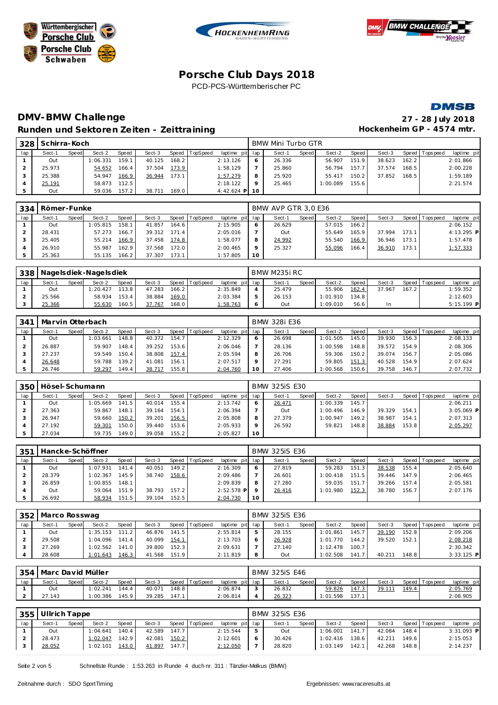







# **DMV-BMW Challenge Runden und Sektoren Zeiten - Zeittraining**

|                           | 27 - 28 July 2018 |  |
|---------------------------|-------------------|--|
| Hockenheim GP - 4574 mtr. |                   |  |

| 328   | Schirra-Koch |       |          |       |        |       |          |                 |    | BMW Mini Turbo GTR |       |          |       |        |       |                 |             |
|-------|--------------|-------|----------|-------|--------|-------|----------|-----------------|----|--------------------|-------|----------|-------|--------|-------|-----------------|-------------|
| lap i | Sect-1       | Speed | Sect-2   | Speed | Sect-3 | Speed | TopSpeed | laptime pit lap |    | Sect-1             | Speed | Sect-2   | Speed | Sect-3 |       | Speed Tops peed | laptime pit |
|       | Out          |       | : 06.331 | 159.1 | 40.125 | 168.2 |          | 2:13.126        | 6  | 26.336             |       | 56.907   | 151.9 | 38.623 | 162.2 |                 | 2:01.866    |
|       | 25.973       |       | 54.652   | 166.4 | 37.504 | 173.9 |          | 1:58.129        |    | 25.860             |       | 56.794   | 157.7 | 37.574 | 168.5 |                 | 2:00.228    |
|       | 25.388       |       | 54.947   | 166.9 | 36.944 | 173.1 |          | 1:57.279        |    | 25.920             |       | 55.417   | 150.2 | 37.852 | 168.5 |                 | 1:59.189    |
|       | 25.191       |       | 58.873   | 112.5 |        |       |          | 2:18.122        |    | 25.465             |       | 1:00.089 | 155.6 |        |       |                 | 2:21.574    |
|       | Out          |       | 59.036   | 157.2 | 38.711 | 169.0 |          | $4:42.624$ P    | 10 |                    |       |          |       |        |       |                 |             |

| 334 | Römer-Funke |       |          |       |        |       |                |                 |         | BMW AVP GTR 3.0 E36 |       |        |         |        |       |                |             |
|-----|-------------|-------|----------|-------|--------|-------|----------------|-----------------|---------|---------------------|-------|--------|---------|--------|-------|----------------|-------------|
| lap | Sect-1      | Speed | Sect-2   | Speed | Sect-3 |       | Speed TopSpeed | laptime pit lap |         | Sect-1              | Speed | Sect-2 | Speed I | Sect-3 |       | Speed Topspeed | laptime pit |
|     | Out         |       | 1:05.815 | 158.1 | 41.857 | 164.6 |                | 2:15.905        |         | 26.629              |       | 57.015 | 166.2   |        |       |                | 2:06.152    |
|     | 28.431      |       | 57.273   | 166.7 | 39.312 | 171.4 |                | 2:05.016        |         | Out                 |       | 55.649 | 165.9   | 37.994 | 173.1 |                | 4:13.295 P  |
|     | 25.405      |       | 55.214   | 166.9 | 37.458 | 174.8 |                | 1:58.077        |         | 24.992              |       | 55.540 | 166.9   | 36.946 | 173.1 |                | 1:57.478    |
|     | 26.910      |       | 55.987   | 162.9 | 37.568 | 172.0 |                | 2:00.465        | $\circ$ | 25.327              |       | 55.096 | 166.4   | 36.910 | 173.1 |                | 1:57.333    |
|     | 25.363      |       | 55.135   | 166.2 | 37.307 | 173.1 |                | 1:57.805        | 10      |                     |       |        |         |        |       |                |             |

| 338 |        |       | Nage Isdiek - Nage Isdiek |              |        |       |                |                 |         | BMW M235i RC |              |          |       |        |       |                |              |
|-----|--------|-------|---------------------------|--------------|--------|-------|----------------|-----------------|---------|--------------|--------------|----------|-------|--------|-------|----------------|--------------|
| lap | Sect-1 | Speed | Sect-2                    | <b>Speed</b> | Sect-3 |       | Speed TopSpeed | laptime pit lap |         | Sect-1       | <b>Speed</b> | Sect-2   | Speed | Sect-3 |       | Speed Topspeed | laptime pit  |
|     | Out    |       | : 20.427                  | 113.8        | 47.283 | 166.2 |                | 2:35.849        |         | 25.479       |              | 55.906   | 162.4 | 37.967 | 167.2 |                | 1:59.352     |
|     | 25.566 |       | 58.934                    | 153.4        | 38.884 | 169.0 |                | 2:03.384        |         | 26.153       |              | 1:01.910 | 134.8 |        |       |                | 2:12.603     |
|     | 25.366 |       | 55.630                    | 160.5        | 37.767 | 168.0 |                | <u>1:58.763</u> | $\circ$ | Out          |              | 1:09.010 | 56.6  | In.    |       |                | $5:15.199$ P |

| 341 |        | Marvin Otterbach<br>Sect-2<br>Sect-3<br>TopSpeed<br>Sect-1<br><b>Speed</b><br>Speed<br>Speed  <br>148.8<br>154.7<br>1:03.661<br>40.372<br>Out |        |       |        |       |  |                 |         | BMW 328i E36 |         |          |       |        |       |                |             |
|-----|--------|-----------------------------------------------------------------------------------------------------------------------------------------------|--------|-------|--------|-------|--|-----------------|---------|--------------|---------|----------|-------|--------|-------|----------------|-------------|
| lap |        |                                                                                                                                               |        |       |        |       |  | laptime pit lap |         | Sect-1       | Speed I | Sect-2   | Speed | Sect-3 |       | Speed Topspeed | laptime pit |
|     |        |                                                                                                                                               |        |       |        |       |  | 2:12.329        | $\circ$ | 26.698       |         | 1:01.505 | 145.0 | 39.930 | 156.3 |                | 2:08.133    |
|     | 26.887 |                                                                                                                                               | 59.907 | 148.4 | 39.252 | 153.6 |  | 2:06.046        |         | 28.136       |         | 1:00.598 | 148.8 | 39.572 | 154.9 |                | 2:08.306    |
|     | 27.237 |                                                                                                                                               | 59.549 | 150.4 | 38.808 | 157.4 |  | 2:05.594        | 8       | 26.706       |         | 59.306   | 150.2 | 39.074 | 156.7 |                | 2:05.086    |
|     | 26.648 |                                                                                                                                               | 59.788 | 139.2 | 41.081 | 156.1 |  | 2:07.517        |         | 27.291       |         | 59.805   | 151.3 | 40.528 | 154.9 |                | 2:07.624    |
|     | 26.746 |                                                                                                                                               | 59.297 | 149.4 | 38.717 | 155.8 |  | 2:04.760        |         | 27.406       |         | 1:00.568 | 150.6 | 39.758 | 146.7 |                | 2:07.732    |

| 350 | Hösel-Schumann |       |          |       |        |       |                |                 |         | <b>BMW 325iS E30</b> |       |          |       |        |       |                |              |
|-----|----------------|-------|----------|-------|--------|-------|----------------|-----------------|---------|----------------------|-------|----------|-------|--------|-------|----------------|--------------|
| lap | Sect-1         | Speed | Sect-2   | Speed | Sect-3 |       | Speed TopSpeed | laptime pit lap |         | Sect-1               | Speed | Sect-2   | Speed | Sect-3 |       | Speed Topspeed | laptime pit  |
|     | Out            |       | 1:05.669 | 141.5 | 40.014 | 155.4 |                | 2:13.742        |         | 26.471               |       | 1:00.339 | 145.7 |        |       |                | 2:06.211     |
|     | 27.363         |       | 59.867   | 148.1 | 39.164 | 154.1 |                | 2:06.394        |         | Out                  |       | 1:00.496 | 146.9 | 39.329 | 154.1 |                | $3:05.069$ P |
|     | 26.947         |       | 59.660   | 150.2 | 39.201 | 156.5 |                | 2:05.808        | 8       | 27.379               |       | 1:00.947 | 149.2 | 38.987 | 154.1 |                | 2:07.313     |
|     | 27.192         |       | 59.301   | 150.0 | 39.440 | 153.6 |                | 2:05.933        | $\circ$ | 26.592               |       | 59.821   | 148.8 | 38.884 | 153.8 |                | 2:05.297     |
|     | 27.034         |       | 59.735   | 149.0 | 39.058 | 155.2 |                | 2:05.827        | 10      |                      |       |          |       |        |       |                |              |

| 351 |        |       | Hancke-Schöffner |              |        |       |          |                 |    | <b>BMW 325iS E36</b> |       |          |        |        |       |                 |             |
|-----|--------|-------|------------------|--------------|--------|-------|----------|-----------------|----|----------------------|-------|----------|--------|--------|-------|-----------------|-------------|
| lap | Sect-1 | Speed | Sect-2           | <b>Speed</b> | Sect-3 | Speed | TopSpeed | laptime pit lap |    | Sect-1               | Speed | Sect-2   | Speed  | Sect-3 |       | Speed Tops peed | laptime pit |
|     | Out    |       | 1:07.931         | 141.4        | 40.051 | 149.2 |          | 2:16.309        |    | 27.819               |       | 59.283   | 151.31 | 38.538 | 155.4 |                 | 2:05.640    |
|     | 28.379 |       | 1:02.367         | 145.9        | 38.740 | 158.6 |          | 2:09.486        |    | 26.601               |       | 1:00.418 | 151.5  | 39.446 | 147.9 |                 | 2:06.465    |
|     | 26.859 |       | 1:00.855         | 148.1        |        |       |          | 2:09.839        |    | 27.280               |       | 59.035   | 151.   | 39.266 | 157.4 |                 | 2:05.581    |
|     | Out    |       | 59.064           | 151.9        | 38.793 | 157.2 |          | $2:52.578$ P    |    | 26.416               |       | 1:01.980 | 152.3  | 38.780 | 156.7 |                 | 2:07.176    |
|     | 26.692 |       | 58.934           | 151.5        | 39.104 | 152.5 |          | 2:04.730        | 10 |                      |       |          |        |        |       |                 |             |

|     | 352   Marco Rosswag |       |          |              |        |       |                  |             |     | <b>BMW 325iS E36</b> |       |          |              |        |       |                 |              |
|-----|---------------------|-------|----------|--------------|--------|-------|------------------|-------------|-----|----------------------|-------|----------|--------------|--------|-------|-----------------|--------------|
| lap | Sect-1              | Speed | Sect-2   | <b>Speed</b> | Sect-3 |       | Speed   TopSpeed | laptime pit | lap | Sect-1               | Speed | Sect-2   | <b>Speed</b> | Sect-3 |       | Speed Tops peed | laptime pit  |
|     | Out                 |       | 1:35.153 | 111.2        | 46.876 | 141.5 |                  | 2:55.814    |     | 28.155               |       | 1:01.861 | 145.         | 39.190 | 152.8 |                 | 2:09.206     |
|     | 29.508              |       | 1:04.096 | 141.4        | 40.099 | 154.1 |                  | 2:13.703    | O   | 26.928               |       | 1:01.770 | 144.2        | 39.520 | 152.1 |                 | 2:08.218     |
|     | 27.269              |       | 1:02.562 | 141.0        | 39.800 | 152.3 |                  | 2:09.631    |     | 27.140               |       | 1:12.478 | 100.7        |        |       |                 | 2:30.342     |
|     | 28.608              |       | 1:01.643 | 146.3        | 41.568 | 151.9 |                  | 2:11.819    | 8   | Out                  |       | 1:02.508 | 141.         | 40.211 | 148.8 |                 | $3:33.125$ P |

| 354 | Marc David Müller |              |                    |              |        |       |                |             |     | <b>BMW 325iS E46</b> |       |              |              |        |       |                   |             |
|-----|-------------------|--------------|--------------------|--------------|--------|-------|----------------|-------------|-----|----------------------|-------|--------------|--------------|--------|-------|-------------------|-------------|
| lap | Sect-1            | <b>Speed</b> | Sect-2             | <b>Speed</b> | Sect-3 |       | Speed TopSpeed | laptime pit | lap | Sect-1               | Speed | Sect-2       | <b>Speed</b> | Sect-3 |       | Speed   Tops peed | laptime pit |
|     | Out               |              | 1:02.241           | 144.4        | 40.071 | 148.8 |                | 2:06.874    |     | 26.832               |       | 59.826       | 147.5        | 39.111 | 149.4 |                   | 2:05.769    |
|     | 27.143            |              | $^{\circ}$ :00.386 | 145.9        | 39.285 | 147.1 |                | 2:06.814    |     | 26.323               |       | .598<br>1:01 | 137.         |        |       |                   | 2:08.905    |

| 355 | Ullrich Tappe |       |          |       |        |       |                |                 |    | <b>BMW 325iS E36</b> |       |          |       |        |       |                 |              |
|-----|---------------|-------|----------|-------|--------|-------|----------------|-----------------|----|----------------------|-------|----------|-------|--------|-------|-----------------|--------------|
| lap | Sect-1        | Speed | Sect-2   | Speed | Sect-3 |       | Speed TopSpeed | laptime pit lap |    | Sect-1               | Speed | Sect-2   | Speed | Sect-3 |       | Speed Tops peed | laptime pit  |
|     | Out           |       | 1:04.641 | 140.4 | 42.589 | 147.7 |                | 2:15.544        | -5 | Out                  |       | 1:06.001 | 141.7 | 42.084 | 148.4 |                 | $3:31.093$ P |
|     | 28.473        |       | 1:02.047 | 142.9 | 42.081 | 150.2 |                | 2:12.601        | -6 | 30.426               |       | 1:02.416 | 138.6 | 42.211 | 149.6 |                 | 2:15.053     |
|     | 28.052        |       | 1:02.101 | 143.0 | 41.897 | 147.7 |                | 2:12.050        |    | 28.820               |       | 1:03.149 | 142.1 | 42.268 | 148.8 |                 | 2:14.237     |

Seite 2 von 5 Schnellste Runde : 1:53.263 in Runde 4 duch nr. 311 : Tänzler-Melkus (BMW)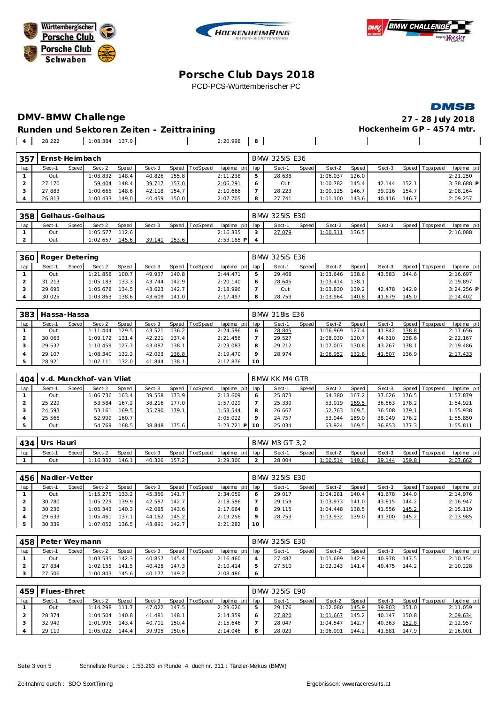







# **DMV-BMW Challenge 27 - 28 July 2018**

 $\blacksquare$  $\mathbf{I}$ 

**Runden und Sektoren Zeiten - Zeittraining** 28.222 1:08.384 137.9 2:20.998 **8**

| 357 | Ernst-Heimbach |       |          |       |        |       |          |                 |   | <b>BMW 325iS E36</b> |       |          |       |        |       |                |              |
|-----|----------------|-------|----------|-------|--------|-------|----------|-----------------|---|----------------------|-------|----------|-------|--------|-------|----------------|--------------|
| lap | Sect-1         | Speed | Sect-2   | Speed | Sect-3 | Speed | TopSpeed | laptime pit lap |   | Sect-1               | Speed | Sect-2   | Speed | Sect-3 |       | Speed Topspeed | laptime pit  |
|     | Out            |       | 1:03.832 | 148.4 | 40.826 | 155.8 |          | 2:11.238        |   | 28.638               |       | 1:06.037 | 126.0 |        |       |                | 2:21.250     |
|     | 27.170         |       | 59.404   | 148.4 | 39.717 | 157.0 |          | 2:06.291        | 6 | Out                  |       | 1:00.782 | 145.4 | 42.144 | 152.1 |                | $3:38.688$ P |
|     | 27.883         |       | 1:00.665 | 148.6 | 42.118 | 154.7 |          | 2:10.666        |   | 28.223               |       | 1:00.125 | 146.7 | 39.916 | 154.7 |                | 2:08.264     |
|     | 26.813         |       | 1:00.433 | 149.0 | 40.459 | 150.0 |          | 2:07.705        |   | 27.741               |       | 1:01.100 | 143.6 | 40.416 | 146.7 |                | 2:09.257     |

|     | 358 Gelhaus-Gelhaus |       |          |                    |        |       |                |                 | <b>BMW 325iS E30</b> |       |         |       |        |                |             |
|-----|---------------------|-------|----------|--------------------|--------|-------|----------------|-----------------|----------------------|-------|---------|-------|--------|----------------|-------------|
| lap | Sect-1              | Speed | Sect-2   | <b>Speed</b>       | Sect-3 |       | Speed TopSpeed | laptime pit lap | Sect-                | Speed | Sect-2  | Speed | Sect-3 | Speed Topspeed | laptime pit |
|     | Out                 |       | : 05.577 | 112.6 <sub>1</sub> |        |       |                | 2:16.335        | 27.079               |       | 1:00.31 | 136.5 |        |                | 2:16.088    |
|     | Out                 |       | :02.657  | 145.6              | 39.141 | 153.6 |                | $2:53.185$ P    |                      |       |         |       |        |                |             |

|     | 360 Roger Detering |       |          |                    |        |       |                |                 | <b>BMW 325iS E36</b> |       |          |                    |        |       |                |              |
|-----|--------------------|-------|----------|--------------------|--------|-------|----------------|-----------------|----------------------|-------|----------|--------------------|--------|-------|----------------|--------------|
| lap | Sect-1             | Speed | Sect-2   | Speed              | Sect-3 |       | Speed TopSpeed | laptime pit lap | Sect-1               | Speed | Sect-2   | Speed I            | Sect-3 |       | Speed Topspeed | laptime pit  |
|     | Out                |       | 1:21.858 | 100.7              | 49.937 | 140.8 |                | 2: 44.471       | 29.468               |       | 1:03.646 | 138.6 <sub>1</sub> | 43.583 | 144.6 |                | 2:16.697     |
|     | 31.213             |       | 1:05.183 | 133.3              | 43.744 | 142.9 |                | 2:20.140        | 28.645               |       | 1:03.414 | 138.1              |        |       |                | 2:19.897     |
|     | 29.695             |       | 1:05.678 | 134.5              | 43.623 | 142.7 |                | 2:18.996        | Out                  |       | 1:03.830 | 139.21             | 42.478 | 142.9 |                | $3:24.256$ P |
|     | 30.025             |       | 1:03.863 | 138.6 <sub>1</sub> | 43.609 | 141.0 |                | 2:17.497        | 28.759               |       | 1:03.964 | 140.8              | 41.679 | 145.0 |                | 2:14.402     |

| 383 | ' Hassa-Hassa |       |              |       |        |       |                |                 |         | <b>BMW 318is E36</b> |       |          |       |        |       |                   |             |
|-----|---------------|-------|--------------|-------|--------|-------|----------------|-----------------|---------|----------------------|-------|----------|-------|--------|-------|-------------------|-------------|
| lap | Sect-1        | Speed | Sect-2       | Speed | Sect-3 |       | Speed TopSpeed | laptime pit lap |         | Sect-1               | Speed | Sect-2   | Speed | Sect-3 |       | Speed   Tops peed | laptime pit |
|     | Out           |       | .444<br>1:11 | 129.5 | 43.521 | 136.2 |                | 2:24.596        | 6       | 28.845               |       | 1:06.969 | 127.4 | 41.842 | 138.8 |                   | 2:17.656    |
|     | 30.063        |       | 1:09.172     | 131.4 | 42.221 | 137.4 |                | 2:21.456        |         | 29.527               |       | 1:08.030 | 120.7 | 44.610 | 138.6 |                   | 2:22.167    |
|     | 29.537        |       | 1:10.459     | 127.7 | 43.087 | 138.1 |                | 2:23.083        | 8       | 29.212               |       | 1:07.007 | 130.8 | 43.267 | 138.1 |                   | 2:19.486    |
|     | 29.107        |       | 1:08.340     | 132.2 | 42.023 | 138.8 |                | 2:19.470        | $\circ$ | 28.974               |       | 1:06.952 | 132.8 | 41.507 | 136.9 |                   | 2:17.433    |
|     | 28.921        |       | 1:07.111     | 132.0 | 41.844 | 138.1 |                | 2:17.876        | 10      |                      |       |          |       |        |       |                   |             |

| 404 |        |       | v.d. Munckhof-van Vliet |              |        |       |                 |                 |              | BMW KK M4 GTR |       |        |       |        |       |                |             |
|-----|--------|-------|-------------------------|--------------|--------|-------|-----------------|-----------------|--------------|---------------|-------|--------|-------|--------|-------|----------------|-------------|
| lap | Sect-1 | Speed | Sect-2                  | <b>Speed</b> | Sect-3 | Speed | <b>TopSpeed</b> | laptime pit lap |              | Sect-1        | Speed | Sect-2 | Speed | Sect-3 |       | Speed Topspeed | laptime pit |
|     | Out    |       | 1:06.736                | 163.4        | 39.558 | 173.9 |                 | 2:13.609        | <sub>o</sub> | 25.873        |       | 54.380 | 167.2 | 37.626 | 176.5 |                | 1:57.879    |
|     | 25.229 |       | 53.584                  | 167.2        | 38.216 | 177.0 |                 | 1:57.029        |              | 25.339        |       | 53.019 | 169.5 | 36.563 | 178.2 |                | 1:54.921    |
|     | 24.593 |       | 53.161                  | 169.5        | 35.790 | 179.1 |                 | 1:53.544        | 8            | 26.667        |       | 52.763 | 169.5 | 36.508 | 179.1 |                | 1:55.938    |
|     | 25.566 |       | 52.999                  | 160.7        |        |       |                 | 2:05.022        |              | 24.757        |       | 53.044 | 169.0 | 38.049 | 176.2 |                | 1:55.850    |
|     | Out    |       | 54.769                  | 168.5        | 38.848 | 175.6 |                 | $3:23.721$ P    |              | 25.034        |       | 53.924 | 169.5 | 36.853 | 177.3 |                | 1:55.811    |

| 434 | Urs    | Hauri        |          |       |        |       |                |          |             | BMW M3 GT 3,2 |       |          |       |        |       |                |             |
|-----|--------|--------------|----------|-------|--------|-------|----------------|----------|-------------|---------------|-------|----------|-------|--------|-------|----------------|-------------|
| lap | Sect-1 | <b>Speed</b> | Sect-2   | Speed | Sect-3 |       | Speed TopSpeed | laptime  | pit lap     | Sect-         | Speed | Sect-2   | Speed | Sect-3 |       | Speed Topspeed | laptime pit |
|     | Out    |              | : 16.332 | 146.  | 40.326 | 157.2 |                | 2:29.300 | $\sim$<br>- | 28.004        |       | : 00.514 | 49.6  | 39.144 | 159.8 |                | 2:07.662    |

| 456 L | Nadler-Vetter |       |          |       |        |       |          |                 |         | <b>BMW 325iS E30</b> |       |          |       |        |       |                |             |
|-------|---------------|-------|----------|-------|--------|-------|----------|-----------------|---------|----------------------|-------|----------|-------|--------|-------|----------------|-------------|
| lap   | Sect-1        | Speed | Sect-2   | Speed | Sect-3 | Speed | TopSpeed | laptime pit lap |         | Sect-1               | Speed | Sect-2   | Speed | Sect-3 |       | Speed Topspeed | laptime pit |
|       | Out           |       | 1:15.275 | 133.2 | 45.350 | 141.7 |          | 2:34.059        |         | 29.017               |       | 1:04.281 | 140.4 | 41.678 | 144.0 |                | 2:14.976    |
|       | 30.780        |       | 1:05.229 | 139.9 | 42.587 | 142.7 |          | 2:18.596        |         | 29.159               |       | 1:03.973 | 141.0 | 43.815 | 144.2 |                | 2:16.947    |
|       | 30.236        |       | 1:05.343 | 140.3 | 42.085 | 143.6 |          | 2:17.664        |         | 29.115               |       | 1:04.448 | 138.5 | 41.556 | 145.2 |                | 2:15.119    |
|       | 29.633        |       | 1:05.461 | 137.1 | 44.162 | 145.2 |          | 2:19.256        | $\circ$ | 28.753               |       | 1:03.932 | 139.0 | 41.300 | 145.2 |                | 2:13.985    |
|       | 30.339        |       | 1:07.052 | 136.5 | 43.891 | 142.7 |          | 2:21.282        | 10      |                      |       |          |       |        |       |                |             |

|     | 458   Peter Weymann |              |          |       |        |       |                |                 |   | <b>BMW 325iS E30</b> |       |          |       |        |       |                 |             |
|-----|---------------------|--------------|----------|-------|--------|-------|----------------|-----------------|---|----------------------|-------|----------|-------|--------|-------|-----------------|-------------|
| lap | Sect-1              | <b>Speed</b> | Sect-2   | Speed | Sect-3 |       | Speed TopSpeed | laptime pit lap |   | Sect-1               | Speed | Sect-2   | Speed | Sect-3 |       | Speed Tops peed | laptime pit |
|     | Out                 |              | 1:03.535 | 142.3 | 40.857 | 145.4 |                | 2:16.460        |   | 27.487               |       | 1:01.689 | 142.9 | 40.978 | 147.5 |                 | 2:10.154    |
|     | 27.834              |              | 1:02.155 | 141.5 | 40.425 | 147.3 |                | 2:10.414        |   | 27.510               |       | 1:02.243 | 141.4 | 40.475 | 144.2 |                 | 2:10.228    |
|     | 27.506              |              | 1:00.803 | 145.6 | 40.177 | 149.2 |                | 2:08.486        | 6 |                      |       |          |       |        |       |                 |             |

|     | 459   Flues-Ehret |       |          |        |        |       |                |                 |              | <b>BMW 325iS E90</b> |         |          |        |        |       |                 |             |
|-----|-------------------|-------|----------|--------|--------|-------|----------------|-----------------|--------------|----------------------|---------|----------|--------|--------|-------|-----------------|-------------|
| lap | Sect-1            | Speed | Sect-2   | Speed  | Sect-3 |       | Speed TopSpeed | laptime pit lap |              | Sect-1               | Speed I | Sect-2   | Speed  | Sect-3 |       | Speed Tops peed | laptime pit |
|     | Out               |       | 1:14.298 | 111.7. | 47.022 | 147.5 |                | 2:28.626        | ь            | 29.176               |         | 1:02.080 | 145.9  | 39.803 | 151.0 |                 | 2:11.059    |
|     | 28.374            |       | 1:04.504 | 140.8  | 41.481 | 148.1 |                | 2:14.359        | <sub>O</sub> | 27.820               |         | 1:01.667 | 145.21 | 40.147 | 150.8 |                 | 2:09.634    |
|     | 32.949            |       | 1:01.996 | 143.4  | 40.701 | 150.4 |                | 2:15.646        |              | 28.047               |         | 1:04.547 | 142.7  | 40.363 | 152.8 |                 | 2:12.957    |
|     | 29.119            |       | 1:05.022 | 144.4  | 39.905 | 150.6 |                | 2:14.046        | 8            | 28.029               |         | 1:06.091 | 144.2  | 41.881 | 147.9 |                 | 2:16.001    |

Seite 3 von 5 Schnellste Runde : 1:53.263 in Runde 4 duch nr. 311 : Tänzler-Melkus (BMW)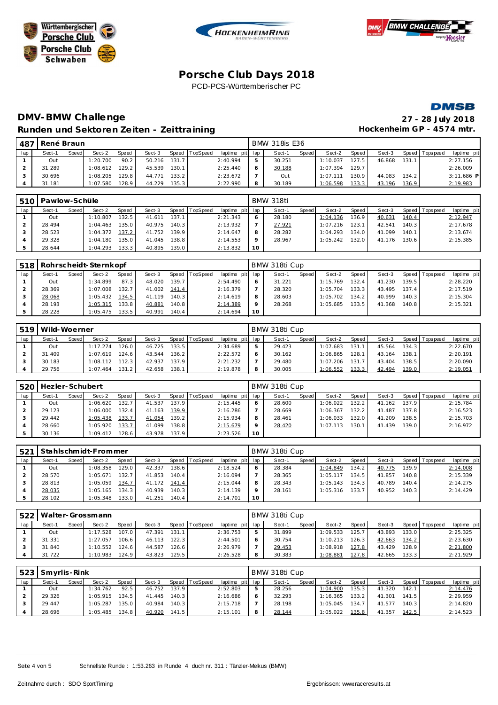







## **DMV-BMW Challenge 27 - 28 July 2018** Runden und Sektoren Zeiten - Zeittraining **Eineren Einer Freihausschreiten GP** - 4574 mtr.

| 487 | René Braun |       |          |       |        |       |          |                 |   | <b>BMW 318is E36</b> |              |          |       |        |       |                 |              |
|-----|------------|-------|----------|-------|--------|-------|----------|-----------------|---|----------------------|--------------|----------|-------|--------|-------|-----------------|--------------|
| lap | Sect-1     | Speed | Sect-2   | Speed | Sect-3 | Speed | TopSpeed | laptime pit lap |   | Sect-1               | <b>Speed</b> | Sect-2   | Speed | Sect-3 |       | Speed Tops peed | laptime pit  |
|     | Out        |       | 1:20.700 | 90.2  | 50.216 | 131.7 |          | 2:40.994        |   | 30.251               |              | 1:10.037 | 127.5 | 46.868 | 131.1 |                 | 2:27.156     |
|     | 31.289     |       | 1:08.612 | 129.2 | 45.539 | 130.1 |          | 2:25.440        |   | 30.188               |              | 1:07.394 | 129.7 |        |       |                 | 2:26.009     |
|     | 30.696     |       | 1:08.205 | 129.8 | 44.771 | 133.2 |          | 2:23.672        |   | Out                  |              | 1:07.111 | 130.9 | 44.083 | 134.2 |                 | $3:11.686$ P |
|     | 31.181     |       | 1:07.580 | 128.9 | 44.229 | 135.3 |          | 2:22.990        | 8 | 30.189               |              | 1:06.598 | 133.3 | 43.196 | 136.9 |                 | 2:19.983     |

|     | 510   Pawlow-Schüle |       |          |              |        |       |                  |                 |    | <b>BMW 318ti</b> |       |          |       |        |       |                |             |
|-----|---------------------|-------|----------|--------------|--------|-------|------------------|-----------------|----|------------------|-------|----------|-------|--------|-------|----------------|-------------|
| lap | Sect-1              | Speed | Sect-2   | <b>Speed</b> | Sect-3 |       | Speed   TopSpeed | laptime pit lap |    | Sect-1           | Speed | Sect-2   | Speed | Sect-3 |       | Speed Topspeed | laptime pit |
|     | Out                 |       | 1:10.807 | 132.5        | 41.611 | 137.1 |                  | 2:21.343        |    | 28.180           |       | 1:04.136 | 136.9 | 40.631 | 140.4 |                | 2:12.947    |
|     | 28.494              |       | 1:04.463 | 135.0        | 40.975 | 140.3 |                  | 2:13.932        |    | 27.921           |       | 1:07.216 | 123.1 | 42.541 | 140.3 |                | 2:17.678    |
|     | 28.523              |       | 1:04.372 | 137.2        | 41.752 | 139.9 |                  | 2:14.647        | 8  | 28.282           |       | 1:04.293 | 134.0 | 41.099 | 140.1 |                | 2:13.674    |
|     | 29.328              |       | 1:04.180 | 135.0        | 41.045 | 138.8 |                  | 2:14.553        |    | 28.967           |       | 1:05.242 | 132.0 | 41.176 | 130.6 |                | 2:15.385    |
|     | 28.644              |       | 1:04.293 | 133.3        | 40.895 | 139.0 |                  | 2:13.832        | 10 |                  |       |          |       |        |       |                |             |

| 518 |        |       | Rohrscheidt-Sternkopf |       |        |       |          |             |         | BMW 318ti Cup |              |          |        |        |         |          |             |
|-----|--------|-------|-----------------------|-------|--------|-------|----------|-------------|---------|---------------|--------------|----------|--------|--------|---------|----------|-------------|
| lap | Sect-1 | Speed | Sect-2                | Speed | Sect-3 | Speed | TopSpeed | laptime pit | lap     | Sect-1        | <b>Speed</b> | Sect-2   | Speed  | Sect-3 | Speed I | Topspeed | laptime pit |
|     | Out    |       | 1:34.899              | 87.3  | 48.020 | 139.7 |          | 2:54.490    | 6       | 31.221        |              | 1:15.769 | 132.4  | 41.230 | 139.51  |          | 2:28.220    |
|     | 28.369 |       | 1:07.008              | 132.7 | 41.002 | 141.4 |          | 2:16.379    |         | 28.320        |              | 1:05.704 | 133.31 | 43.495 | 137.4   |          | 2:17.519    |
|     | 28.068 |       | 1:05.432              | 134.5 | 41.119 | 140.3 |          | 2:14.619    | 8       | 28.603        |              | 1:05.702 | 134.2  | 40.999 | 140.3   |          | 2:15.304    |
|     | 28.193 |       | 1:05.315              | 133.8 | 40.881 | 140.8 |          | 2:14.389    | $\circ$ | 28.268        |              | 1:05.685 | 133.5  | 41.368 | 140.8   |          | 2:15.321    |
|     | 28.228 |       | 1:05.475              | 133.5 | 40.991 | 140.4 |          | 2:14.694    | 10      |               |              |          |        |        |         |          |             |

|     | 519   Wild-Woerner<br>Speed TopSpeed<br>Sect-2<br>Speed<br>Sect-1<br>Sect-3<br><b>Speed</b> |  |          |       |        |       |  |                 |  | BMW 318ti Cup |       |          |                    |        |       |                |             |
|-----|---------------------------------------------------------------------------------------------|--|----------|-------|--------|-------|--|-----------------|--|---------------|-------|----------|--------------------|--------|-------|----------------|-------------|
| lap |                                                                                             |  |          |       |        |       |  | laptime pit lap |  | Sect-1        | Speed | Sect-2   | Speed              | Sect-3 |       | Speed Topspeed | laptime pit |
|     | Out                                                                                         |  | 1:17.274 | 126.0 | 46.725 | 133.5 |  | 2:34.689        |  | 29.423        |       | 1:07.683 | 131.1 <sub>1</sub> | 45.564 | 134.3 |                | 2:22.670    |
|     | 31.409                                                                                      |  | 1:07.619 | 124.6 | 43.544 | 136.2 |  | 2:22.572        |  | 30.162        |       | 1:06.865 | 128.1              | 43.164 | 138.1 |                | 2:20.191    |
|     | 30.183                                                                                      |  | 1:08.112 | 112.3 | 42.937 | 137.9 |  | 2:21.232        |  | 29.480        |       | 1:07.206 | 131.7              | 43.404 | 138.5 |                | 2:20.090    |
|     | 29.756                                                                                      |  | 1:07.464 | 131.2 | 42.658 | 138.1 |  | 2:19.878        |  | 30.005        |       | 1:06.552 | 133.3              | 42.494 | 139.0 |                | 2:19.051    |

| 520 | Hezler-Schubert |              |          |       |        |                    |          |                 |         | BMW 318ti Cup |       |          |       |        |       |                 |             |
|-----|-----------------|--------------|----------|-------|--------|--------------------|----------|-----------------|---------|---------------|-------|----------|-------|--------|-------|-----------------|-------------|
| lap | Sect-1          | <b>Speed</b> | Sect-2   | Speed | Sect-3 | Speed              | TopSpeed | laptime pit lap |         | Sect-1        | Speed | Sect-2   | Speed | Sect-3 |       | Speed Tops peed | laptime pit |
|     | Out             |              | 1:06.620 | 132.7 | 41.537 | 137.9              |          | 2:15.445        | 6       | 28.600        |       | 1:06.022 | 132.2 | 41.162 | 137.9 |                 | 2:15.784    |
|     | 29.123          |              | 1:06.000 | 132.4 | 41.163 | 139.9              |          | 2:16.286        |         | 28.669        |       | 1:06.367 | 132.2 | 41.487 | 137.8 |                 | 2:16.523    |
|     | 29.442          |              | 1:05.438 | 133.7 | 41.054 | 139.2 <sub>1</sub> |          | 2:15.934        | 8       | 28.461        |       | 1:06.033 | 132.0 | 41.209 | 138.5 |                 | 2:15.703    |
|     | 28.660          |              | 1:05.920 | 133.7 | 41.099 | 138.8              |          | 2:15.679        | $\circ$ | 28.420        |       | 1:07.113 | 130.  | 41.439 | 139.0 |                 | 2:16.972    |
|     | 30.136          |              | 1:09.412 | 128.6 | 43.978 | 137.9              |          | 2:23.526        | 10      |               |       |          |       |        |       |                 |             |

| 521 |        |       | Stahlschmidt-Frommer |              |        |       |          |                 |         | BMW 318ti Cup |              |           |                    |        |       |                 |             |
|-----|--------|-------|----------------------|--------------|--------|-------|----------|-----------------|---------|---------------|--------------|-----------|--------------------|--------|-------|-----------------|-------------|
| lap | Sect-1 | Speed | Sect-2               | <b>Speed</b> | Sect-3 | Speed | TopSpeed | laptime pit lap |         | Sect-1        | <b>Speed</b> | Sect-2    | Speed              | Sect-3 |       | Speed Tops peed | laptime pit |
|     | Out    |       | 1:08.358             | 129.0        | 42.337 | 138.6 |          | 2:18.524        | 6       | 28.384        |              | 1:04.849  | 134.2 <sub>1</sub> | 40.775 | 139.9 |                 | 2:14.008    |
|     | 28.570 |       | 1:05.671             | 132.7        | 41.853 | 140.4 |          | 2:16.094        |         | 28.365        |              | l: 05.117 | 134.5              | 41.857 | 140.8 |                 | 2:15.339    |
|     | 28.813 |       | 1:05.059             | 134.7        | 41.172 | 141.4 |          | 2:15.044        | -8      | 28.343        |              | 1:05.143  | 134.3              | 40.789 | 140.4 |                 | 2:14.275    |
|     | 28.035 |       | 1:05.165             | 134.3        | 40.939 | 140.3 |          | 2:14.139        | $\circ$ | 28.161        |              | 1:05.316  | 133.7              | 40.952 | 140.3 |                 | 2:14.429    |
|     | 28.102 |       | 1:05.348             | 33.0         | 41.251 | 140.4 |          | 2:14.701        | 10      |               |              |           |                    |        |       |                 |             |

| 522 | Walter-Grossmann<br>Speed TopSpeed<br>Sect-2<br>Speed<br>Sect-3<br>Sect-1<br><b>Speed</b> |  |          |       |        |        |  |             |     | BMW 318ti Cup |       |          |       |        |       |                |             |
|-----|-------------------------------------------------------------------------------------------|--|----------|-------|--------|--------|--|-------------|-----|---------------|-------|----------|-------|--------|-------|----------------|-------------|
| lap |                                                                                           |  |          |       |        |        |  | laptime pit | lap | Sect-1        | Speed | Sect-2   | Speed | Sect-3 |       | Speed Topspeed | laptime pit |
|     | Out                                                                                       |  | 1:17.528 | 107.0 | 47.391 | 131.1  |  | 2:36.753    |     | 31.899        |       | 1:09.533 | 125.7 | 43.893 | 133.0 |                | 2:25.325    |
|     | 31.331                                                                                    |  | 1:27.057 | 106.6 | 46.113 | 122.3  |  | 2:44.501    |     | 30.754        |       | 1:10.213 | 126.3 | 42.663 | 134.2 |                | 2:23.630    |
|     | 31.840                                                                                    |  | 1:10.552 | 124.6 | 44.587 | 126.6  |  | 2:26.979    |     | 29.453        |       | 1:08.918 | 127.8 | 43.429 | 128.9 |                | 2:21.800    |
|     | 31.722                                                                                    |  | 1:10.983 | 124.9 | 43.823 | 129.51 |  | 2:26.528    | 8   | 30.383        |       | 1:08.881 | 127.8 | 42.665 | 133.3 |                | 2:21.929    |

|     | 523 Smyrlis-Rink<br>Sect-2<br>Speed TopSpeed<br>Speed<br>Sect-3<br>Sect-1<br>Speed<br>92.5<br>1:34.762<br>46.752<br>137.9<br>Out |  |          |       |        |       |  |                 |   | BMW 318ti Cup |              |          |                    |        |       |                 |             |
|-----|----------------------------------------------------------------------------------------------------------------------------------|--|----------|-------|--------|-------|--|-----------------|---|---------------|--------------|----------|--------------------|--------|-------|-----------------|-------------|
| lap |                                                                                                                                  |  |          |       |        |       |  | laptime pit lap |   | Sect-1        | <b>Speed</b> | Sect-2   | Speed              | Sect-3 |       | Speed Tops peed | laptime pit |
|     |                                                                                                                                  |  |          |       |        |       |  | 2:52.803        |   | 28.256        |              | 1:04.900 | 135.3              | 41.320 | 142.1 |                 | 2:14.476    |
|     | 29.326                                                                                                                           |  | 1:05.915 | 134.5 | 41.445 | 140.3 |  | 2:16.686        | O | 32.293        |              | 1:16.365 | 133.2              | 41.301 | 141.5 |                 | 2:29.959    |
|     | 29.447                                                                                                                           |  | 1:05.287 | 135.0 | 40.984 | 140.3 |  | 2:15.718        |   | 28.198        |              | 1:05.045 | 134.7 <sub>1</sub> | 41.577 | 140.3 |                 | 2:14.820    |
|     | 28.696                                                                                                                           |  | 1:05.485 | 134.8 | 40.920 | 141.5 |  | 2:15.101        | 8 | 28.144        |              | 1:05.022 | 135.8              | 41.357 | 142.5 |                 | 2:14.523    |

Seite 4 von 5 Schnellste Runde : 1:53.263 in Runde 4 duch nr. 311 : Tänzler-Melkus (BMW)